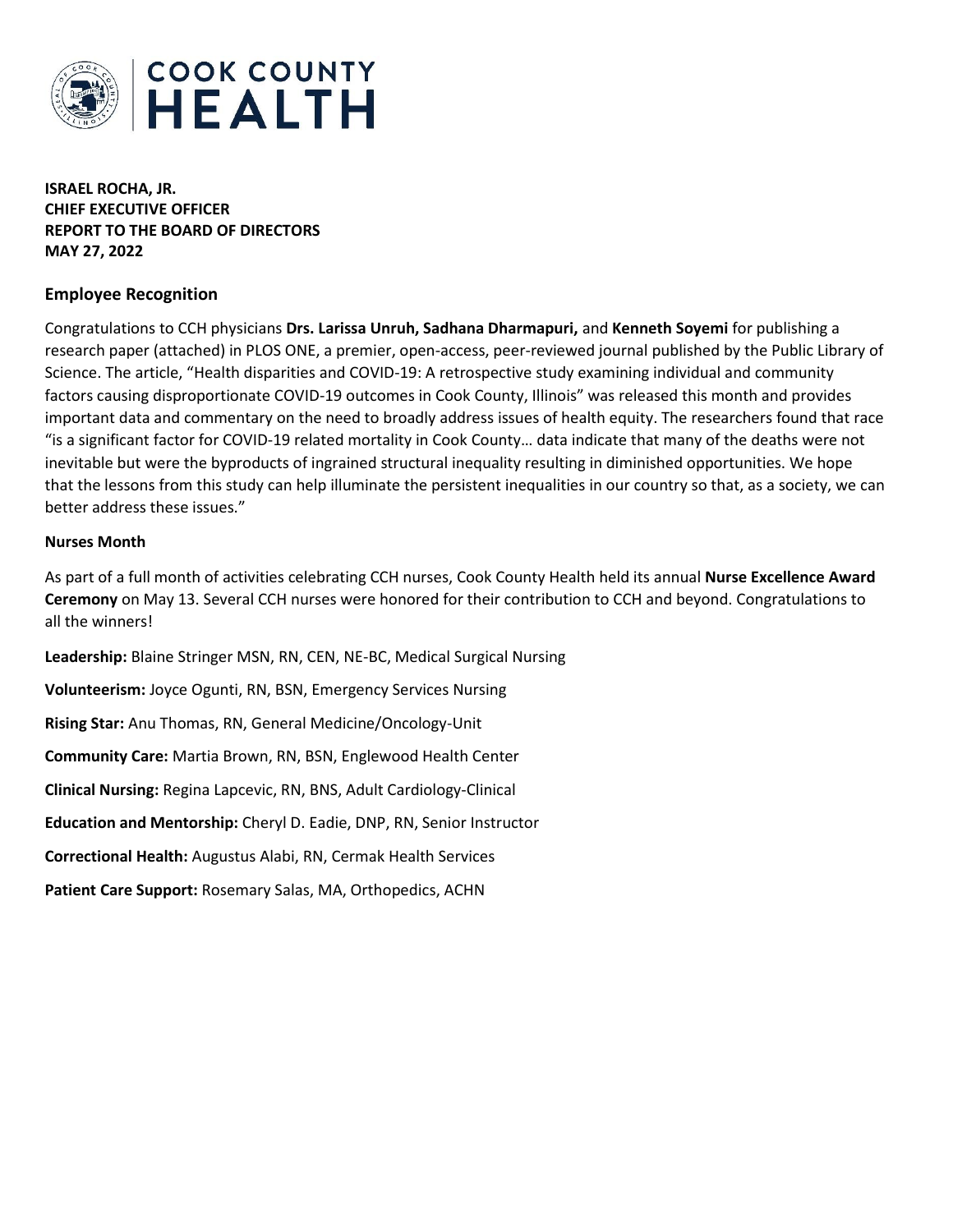

**ISRAEL ROCHA, JR. CHIEF EXECUTIVE OFFICER REPORT TO THE BOARD OF DIRECTORS MAY 27, 2022**

## **Employee Recognition**

Congratulations to CCH physicians **Drs. Larissa Unruh, Sadhana Dharmapuri,** and **Kenneth Soyemi** for publishing a research paper (attached) in PLOS ONE, a premier, open-access, peer-reviewed journal published by the Public Library of Science. The article, "Health disparities and COVID-19: A retrospective study examining individual and community factors causing disproportionate COVID-19 outcomes in Cook County, Illinois" was released this month and provides important data and commentary on the need to broadly address issues of health equity. The researchers found that race "is a significant factor for COVID-19 related mortality in Cook County… data indicate that many of the deaths were not inevitable but were the byproducts of ingrained structural inequality resulting in diminished opportunities. We hope that the lessons from this study can help illuminate the persistent inequalities in our country so that, as a society, we can better address these issues."

#### **Nurses Month**

As part of a full month of activities celebrating CCH nurses, Cook County Health held its annual **Nurse Excellence Award Ceremony** on May 13. Several CCH nurses were honored for their contribution to CCH and beyond. Congratulations to all the winners!

**Leadership:** Blaine Stringer MSN, RN, CEN, NE-BC, Medical Surgical Nursing **Volunteerism:** Joyce Ogunti, RN, BSN, Emergency Services Nursing **Rising Star:** Anu Thomas, RN, General Medicine/Oncology-Unit **Community Care:** Martia Brown, RN, BSN, Englewood Health Center **Clinical Nursing:** Regina Lapcevic, RN, BNS, Adult Cardiology-Clinical **Education and Mentorship:** Cheryl D. Eadie, DNP, RN, Senior Instructor **Correctional Health:** Augustus Alabi, RN, Cermak Health Services **Patient Care Support:** Rosemary Salas, MA, Orthopedics, ACHN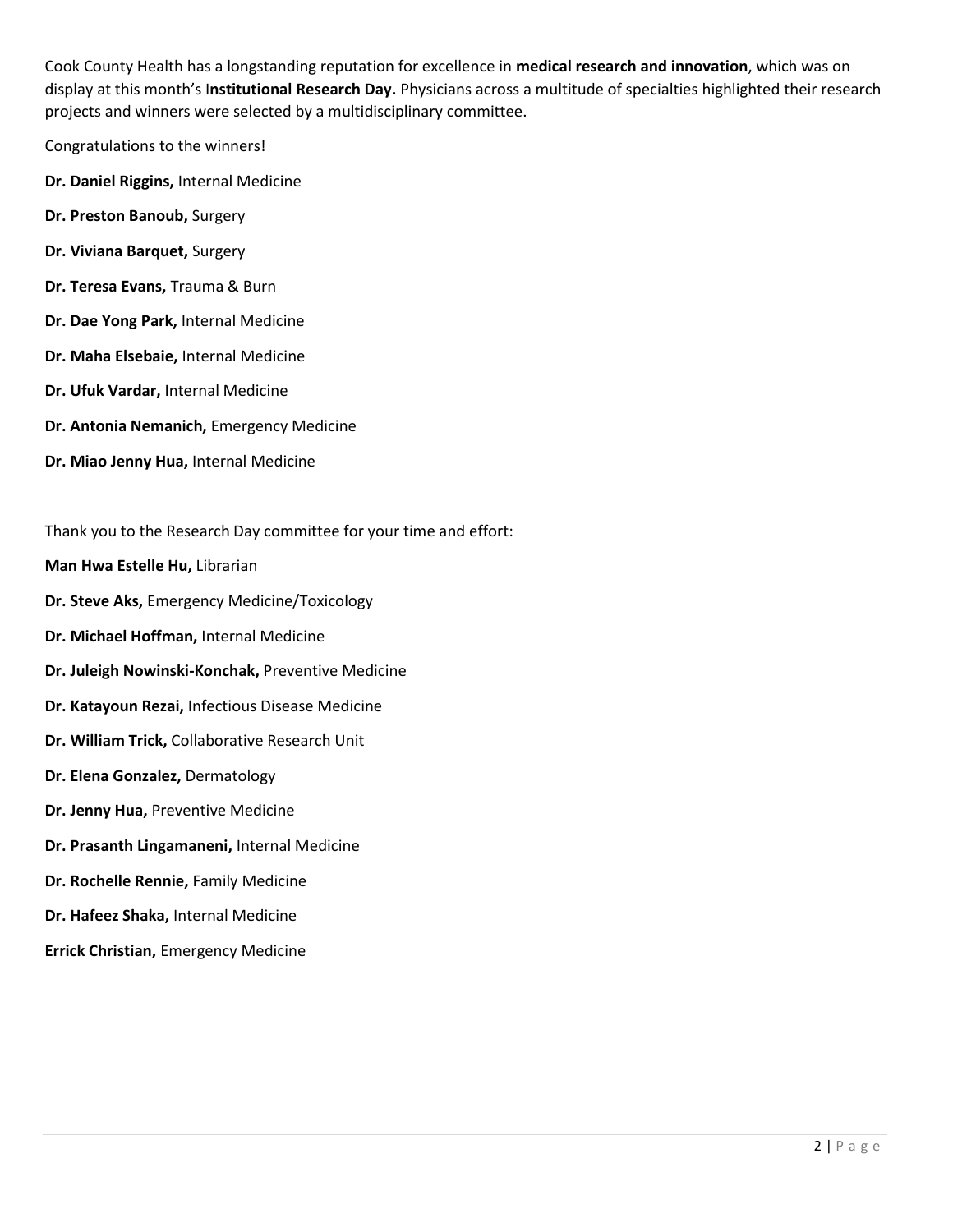Cook County Health has a longstanding reputation for excellence in **medical research and innovation**, which was on display at this month's I**nstitutional Research Day.** Physicians across a multitude of specialties highlighted their research projects and winners were selected by a multidisciplinary committee.

Congratulations to the winners!

- **Dr. Daniel Riggins,** Internal Medicine
- **Dr. Preston Banoub,** Surgery
- **Dr. Viviana Barquet,** Surgery
- **Dr. Teresa Evans,** Trauma & Burn
- **Dr. Dae Yong Park,** Internal Medicine
- **Dr. Maha Elsebaie,** Internal Medicine
- **Dr. Ufuk Vardar,** Internal Medicine
- **Dr. Antonia Nemanich,** Emergency Medicine
- **Dr. Miao Jenny Hua,** Internal Medicine

Thank you to the Research Day committee for your time and effort:

- **Man Hwa Estelle Hu,** Librarian
- **Dr. Steve Aks,** Emergency Medicine/Toxicology
- **Dr. Michael Hoffman,** Internal Medicine
- **Dr. Juleigh Nowinski-Konchak,** Preventive Medicine
- **Dr. Katayoun Rezai,** Infectious Disease Medicine
- **Dr. William Trick,** Collaborative Research Unit
- **Dr. Elena Gonzalez,** Dermatology
- **Dr. Jenny Hua,** Preventive Medicine
- **Dr. Prasanth Lingamaneni,** Internal Medicine
- **Dr. Rochelle Rennie,** Family Medicine
- **Dr. Hafeez Shaka,** Internal Medicine
- **Errick Christian,** Emergency Medicine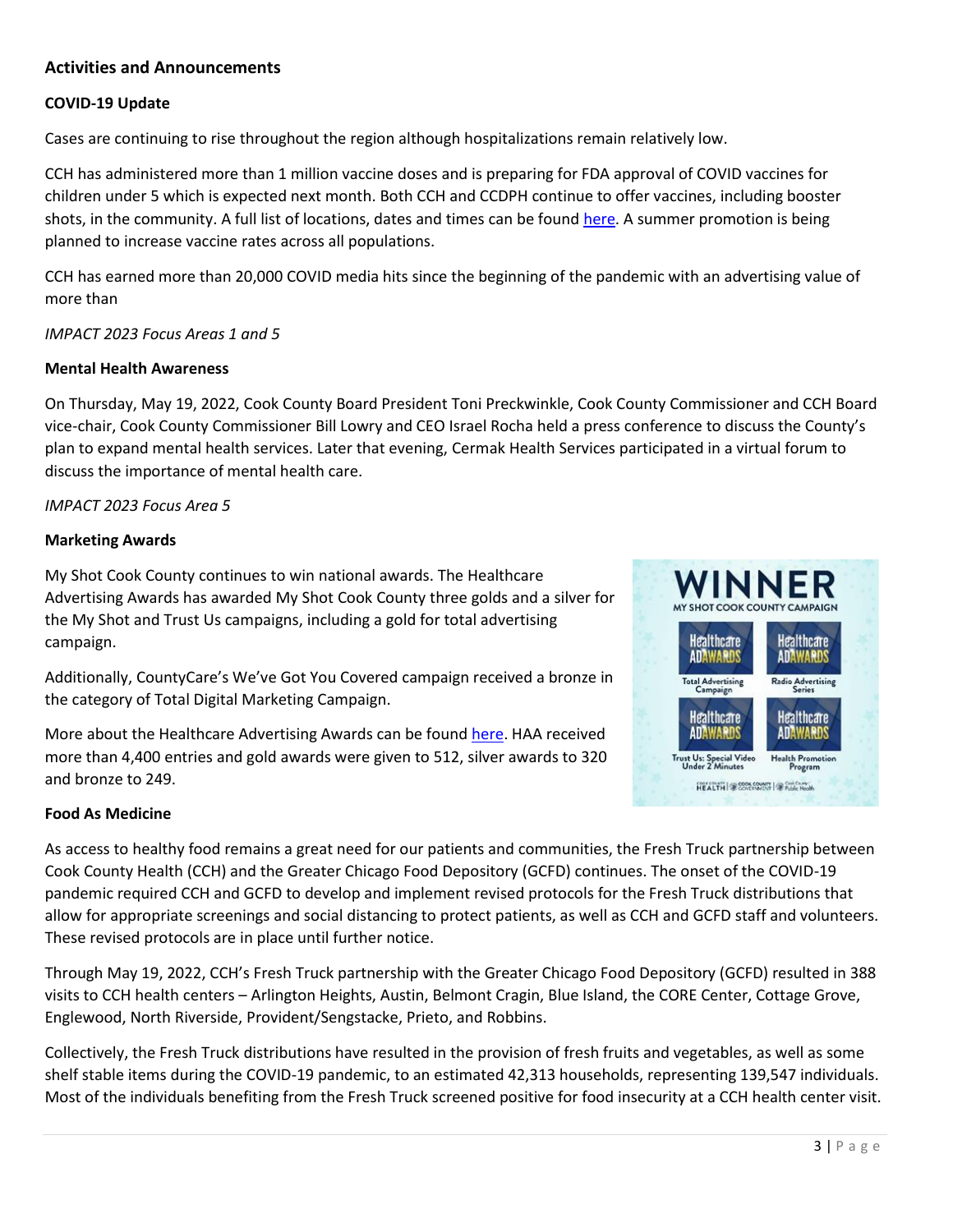# **Activities and Announcements**

## **COVID-19 Update**

Cases are continuing to rise throughout the region although hospitalizations remain relatively low.

CCH has administered more than 1 million vaccine doses and is preparing for FDA approval of COVID vaccines for children under 5 which is expected next month. Both CCH and CCDPH continue to offer vaccines, including booster shots, in the community. A full list of locations, dates and times can be found [here.](https://myshotcookcounty.com/locations/) A summer promotion is being planned to increase vaccine rates across all populations.

CCH has earned more than 20,000 COVID media hits since the beginning of the pandemic with an advertising value of more than

*IMPACT 2023 Focus Areas 1 and 5*

#### **Mental Health Awareness**

On Thursday, May 19, 2022, Cook County Board President Toni Preckwinkle, Cook County Commissioner and CCH Board vice-chair, Cook County Commissioner Bill Lowry and CEO Israel Rocha held a press conference to discuss the County's plan to expand mental health services. Later that evening, Cermak Health Services participated in a virtual forum to discuss the importance of mental health care.

### *IMPACT 2023 Focus Area 5*

#### **Marketing Awards**

My Shot Cook County continues to win national awards. The Healthcare Advertising Awards has awarded My Shot Cook County three golds and a silver for the My Shot and Trust Us campaigns, including a gold for total advertising campaign.

Additionally, CountyCare's We've Got You Covered campaign received a bronze in the category of Total Digital Marketing Campaign.

More about the Healthcare Advertising Awards can be found [here.](https://nam12.safelinks.protection.outlook.com/?url=https%3A%2F%2Fhealthcareadawards.com%2Fwinners-list%2Fwinners-list-39th-annual%2F&data=05%7C01%7Ccstancik%40cookcountyhhs.org%7Caf4b0c96afc945952b2e08da2b752bfa%7C3b922295e886417faaa84e4c4f069d82%7C0%7C0%7C637870080261215702%7CUnknown%7CTWFpbGZsb3d8eyJWIjoiMC4wLjAwMDAiLCJQIjoiV2luMzIiLCJBTiI6Ik1haWwiLCJXVCI6Mn0%3D%7C1000%7C%7C%7C&sdata=K2LMYbMsSaEPmSlJZQJ0yeMMudeAtx4GfEZbGJ%2FOdXo%3D&reserved=0) HAA received more than 4,400 entries and gold awards were given to 512, silver awards to 320 and bronze to 249.



### **Food As Medicine**

As access to healthy food remains a great need for our patients and communities, the Fresh Truck partnership between Cook County Health (CCH) and the Greater Chicago Food Depository (GCFD) continues. The onset of the COVID-19 pandemic required CCH and GCFD to develop and implement revised protocols for the Fresh Truck distributions that allow for appropriate screenings and social distancing to protect patients, as well as CCH and GCFD staff and volunteers. These revised protocols are in place until further notice.

Through May 19, 2022, CCH's Fresh Truck partnership with the Greater Chicago Food Depository (GCFD) resulted in 388 visits to CCH health centers – Arlington Heights, Austin, Belmont Cragin, Blue Island, the CORE Center, Cottage Grove, Englewood, North Riverside, Provident/Sengstacke, Prieto, and Robbins.

Collectively, the Fresh Truck distributions have resulted in the provision of fresh fruits and vegetables, as well as some shelf stable items during the COVID-19 pandemic, to an estimated 42,313 households, representing 139,547 individuals. Most of the individuals benefiting from the Fresh Truck screened positive for food insecurity at a CCH health center visit.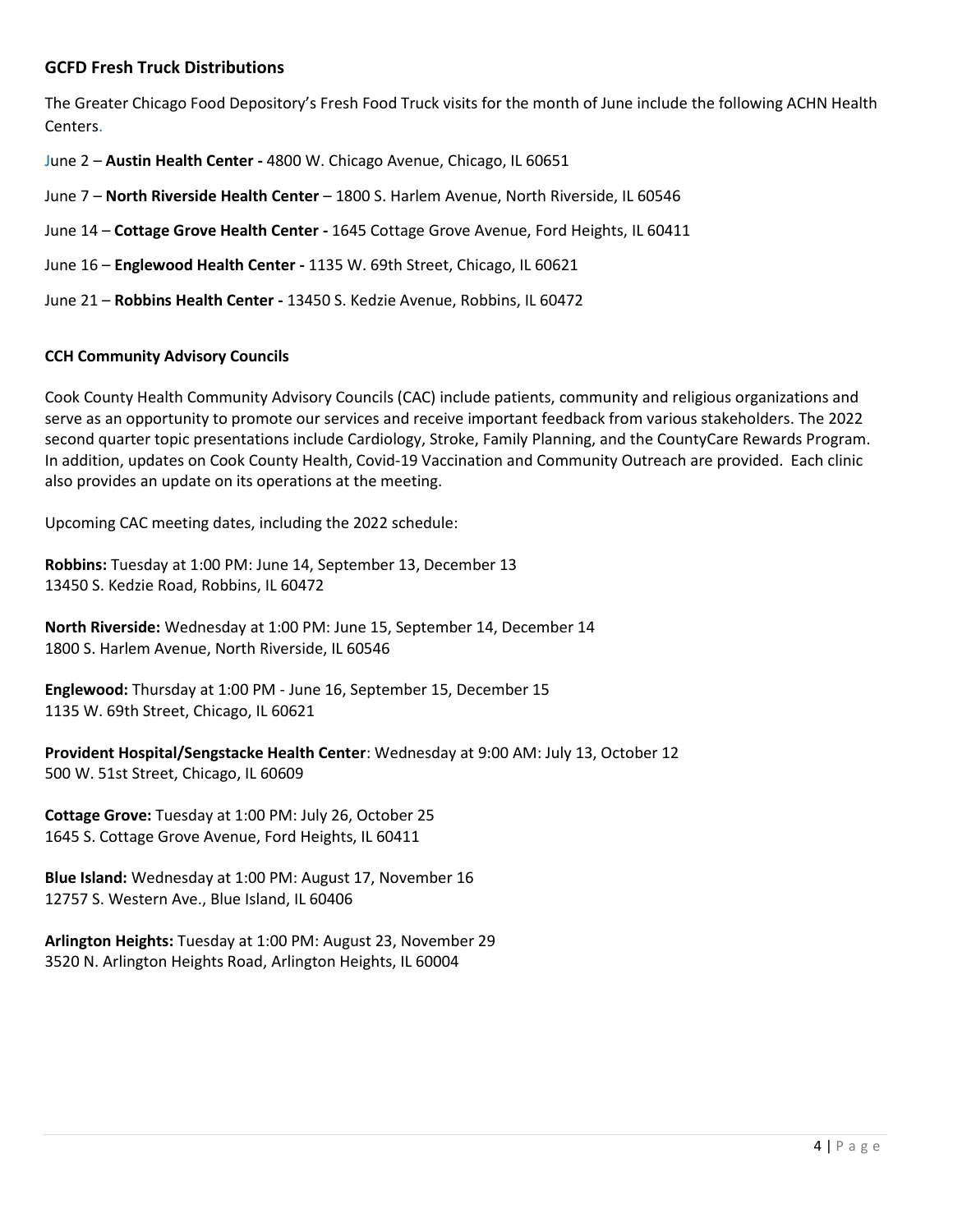## **GCFD Fresh Truck Distributions**

The Greater Chicago Food Depository's Fresh Food Truck visits for the month of June include the following ACHN Health Centers.

June 2 – **Austin Health Center -** 4800 W. Chicago Avenue, Chicago, IL 60651

June 7 – **North Riverside Health Center** – 1800 S. Harlem Avenue, North Riverside, IL 60546

June 14 – **Cottage Grove Health Center -** 1645 Cottage Grove Avenue, Ford Heights, IL 60411

June 16 – **Englewood Health Center -** 1135 W. 69th Street, Chicago, IL 60621

June 21 – **Robbins Health Center -** 13450 S. Kedzie Avenue, Robbins, IL 60472

#### **CCH Community Advisory Councils**

Cook County Health Community Advisory Councils (CAC) include patients, community and religious organizations and serve as an opportunity to promote our services and receive important feedback from various stakeholders. The 2022 second quarter topic presentations include Cardiology, Stroke, Family Planning, and the CountyCare Rewards Program. In addition, updates on Cook County Health, Covid-19 Vaccination and Community Outreach are provided. Each clinic also provides an update on its operations at the meeting.

Upcoming CAC meeting dates, including the 2022 schedule:

**Robbins:** Tuesday at 1:00 PM: June 14, September 13, December 13 13450 S. Kedzie Road, Robbins, IL 60472

**North Riverside:** Wednesday at 1:00 PM: June 15, September 14, December 14 1800 S. Harlem Avenue, North Riverside, IL 60546

**Englewood:** Thursday at 1:00 PM - June 16, September 15, December 15 1135 W. 69th Street, Chicago, IL 60621

**Provident Hospital/Sengstacke Health Center**: Wednesday at 9:00 AM: July 13, October 12 500 W. 51st Street, Chicago, IL 60609

**Cottage Grove:** Tuesday at 1:00 PM: July 26, October 25 1645 S. Cottage Grove Avenue, Ford Heights, IL 60411

**Blue Island:** Wednesday at 1:00 PM: August 17, November 16 12757 S. Western Ave., Blue Island, IL 60406

**Arlington Heights:** Tuesday at 1:00 PM: August 23, November 29 3520 N. Arlington Heights Road, Arlington Heights, IL 60004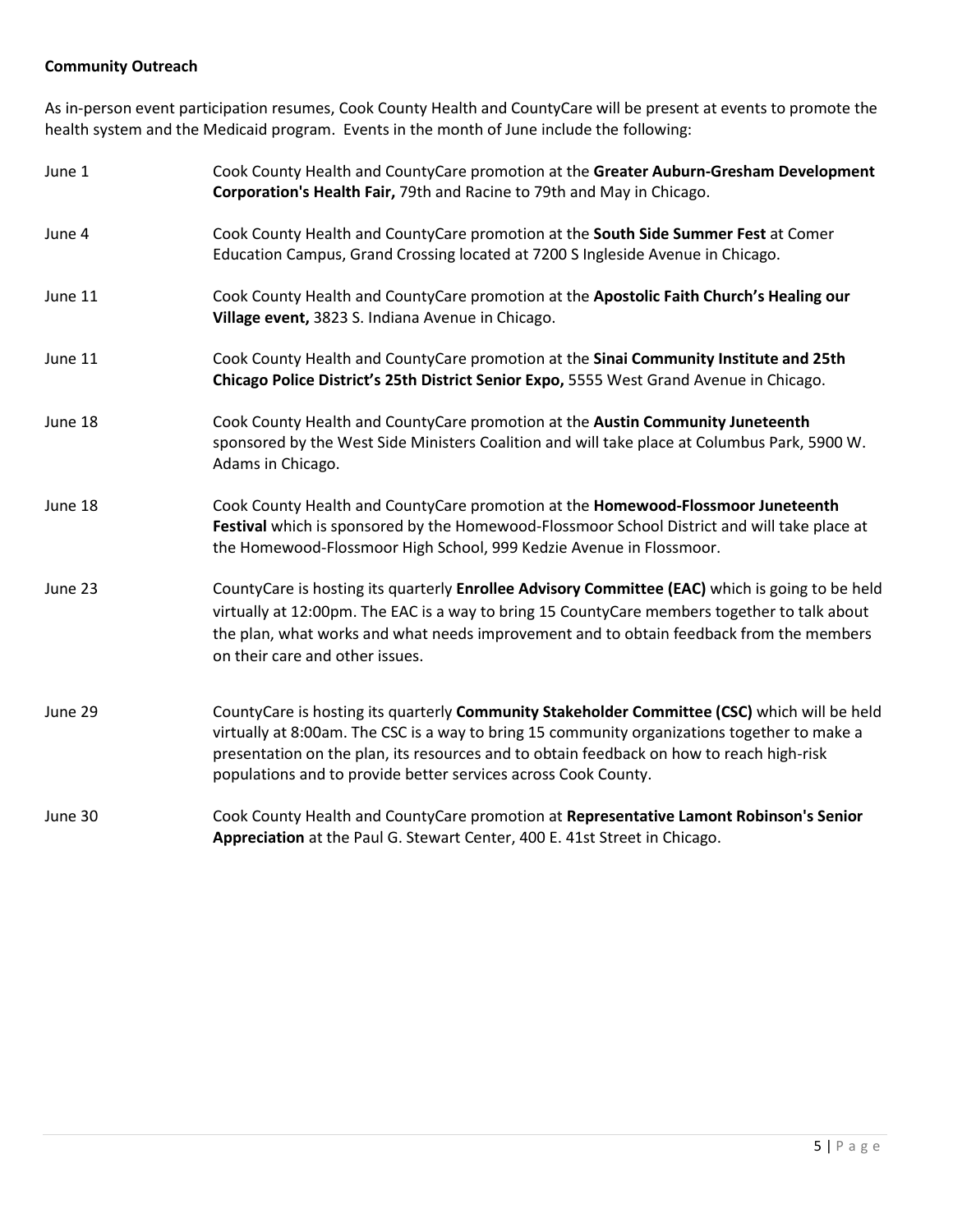# **Community Outreach**

As in-person event participation resumes, Cook County Health and CountyCare will be present at events to promote the health system and the Medicaid program. Events in the month of June include the following:

| June 1  | Cook County Health and CountyCare promotion at the Greater Auburn-Gresham Development<br>Corporation's Health Fair, 79th and Racine to 79th and May in Chicago.                                                                                                                                                                                            |
|---------|------------------------------------------------------------------------------------------------------------------------------------------------------------------------------------------------------------------------------------------------------------------------------------------------------------------------------------------------------------|
| June 4  | Cook County Health and CountyCare promotion at the South Side Summer Fest at Comer<br>Education Campus, Grand Crossing located at 7200 S Ingleside Avenue in Chicago.                                                                                                                                                                                      |
| June 11 | Cook County Health and CountyCare promotion at the Apostolic Faith Church's Healing our<br>Village event, 3823 S. Indiana Avenue in Chicago.                                                                                                                                                                                                               |
| June 11 | Cook County Health and CountyCare promotion at the Sinai Community Institute and 25th<br>Chicago Police District's 25th District Senior Expo, 5555 West Grand Avenue in Chicago.                                                                                                                                                                           |
| June 18 | Cook County Health and CountyCare promotion at the Austin Community Juneteenth<br>sponsored by the West Side Ministers Coalition and will take place at Columbus Park, 5900 W.<br>Adams in Chicago.                                                                                                                                                        |
| June 18 | Cook County Health and CountyCare promotion at the Homewood-Flossmoor Juneteenth<br>Festival which is sponsored by the Homewood-Flossmoor School District and will take place at<br>the Homewood-Flossmoor High School, 999 Kedzie Avenue in Flossmoor.                                                                                                    |
| June 23 | CountyCare is hosting its quarterly Enrollee Advisory Committee (EAC) which is going to be held<br>virtually at 12:00pm. The EAC is a way to bring 15 CountyCare members together to talk about<br>the plan, what works and what needs improvement and to obtain feedback from the members<br>on their care and other issues.                              |
| June 29 | CountyCare is hosting its quarterly Community Stakeholder Committee (CSC) which will be held<br>virtually at 8:00am. The CSC is a way to bring 15 community organizations together to make a<br>presentation on the plan, its resources and to obtain feedback on how to reach high-risk<br>populations and to provide better services across Cook County. |
| June 30 | Cook County Health and CountyCare promotion at Representative Lamont Robinson's Senior<br>Appreciation at the Paul G. Stewart Center, 400 E. 41st Street in Chicago.                                                                                                                                                                                       |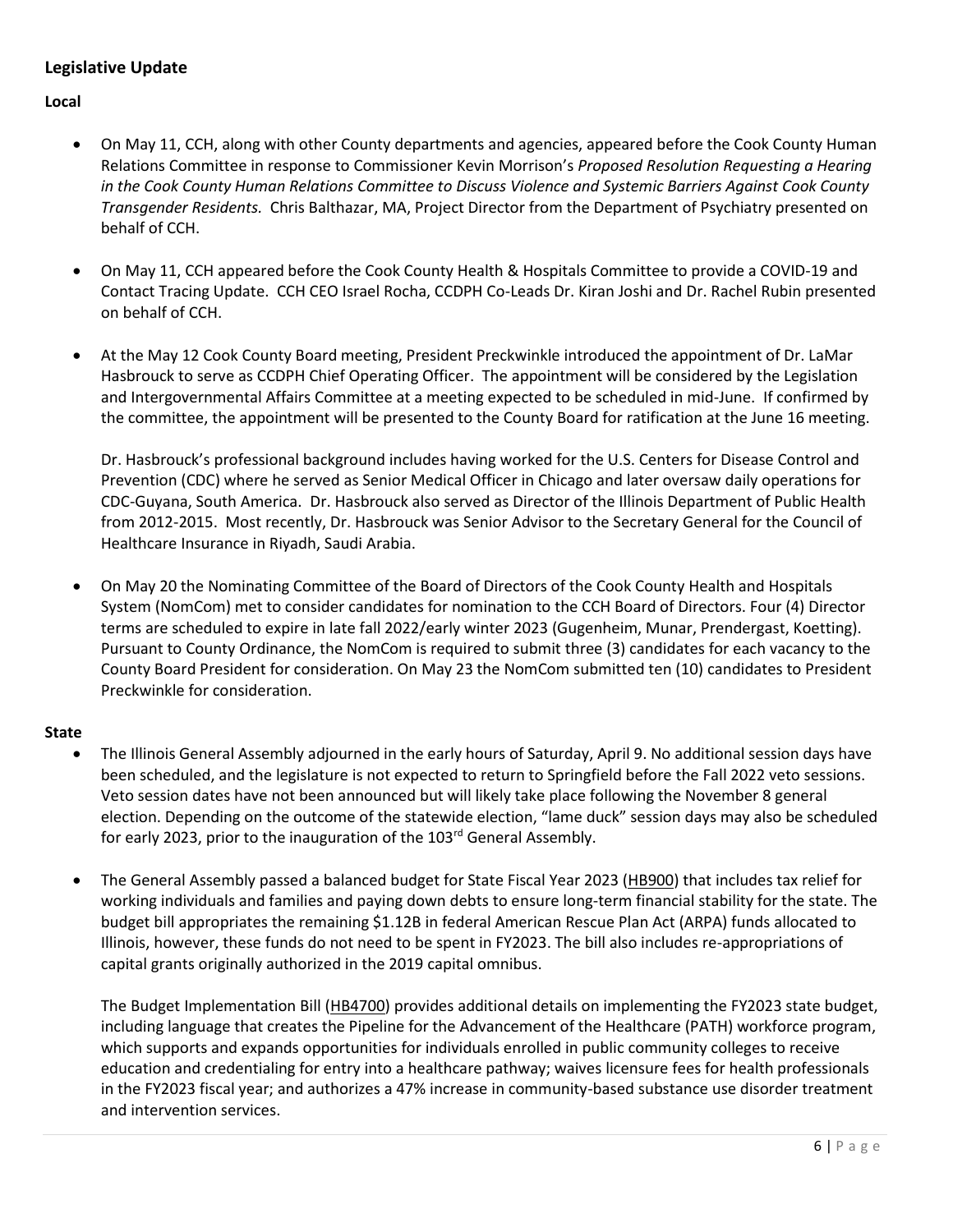# **Legislative Update**

**Local**

- On May 11, CCH, along with other County departments and agencies, appeared before the Cook County Human Relations Committee in response to Commissioner Kevin Morrison's *Proposed Resolution Requesting a Hearing in the Cook County Human Relations Committee to Discuss Violence and Systemic Barriers Against Cook County Transgender Residents.* Chris Balthazar, MA, Project Director from the Department of Psychiatry presented on behalf of CCH.
- On May 11, CCH appeared before the Cook County Health & Hospitals Committee to provide a COVID-19 and Contact Tracing Update. CCH CEO Israel Rocha, CCDPH Co-Leads Dr. Kiran Joshi and Dr. Rachel Rubin presented on behalf of CCH.
- At the May 12 Cook County Board meeting, President Preckwinkle introduced the appointment of Dr. LaMar Hasbrouck to serve as CCDPH Chief Operating Officer. The appointment will be considered by the Legislation and Intergovernmental Affairs Committee at a meeting expected to be scheduled in mid-June. If confirmed by the committee, the appointment will be presented to the County Board for ratification at the June 16 meeting.

Dr. Hasbrouck's professional background includes having worked for the U.S. Centers for Disease Control and Prevention (CDC) where he served as Senior Medical Officer in Chicago and later oversaw daily operations for CDC-Guyana, South America. Dr. Hasbrouck also served as Director of the Illinois Department of Public Health from 2012-2015. Most recently, Dr. Hasbrouck was Senior Advisor to the Secretary General for the Council of Healthcare Insurance in Riyadh, Saudi Arabia.

• On May 20 the Nominating Committee of the Board of Directors of the Cook County Health and Hospitals System (NomCom) met to consider candidates for nomination to the CCH Board of Directors. Four (4) Director terms are scheduled to expire in late fall 2022/early winter 2023 (Gugenheim, Munar, Prendergast, Koetting). Pursuant to County Ordinance, the NomCom is required to submit three (3) candidates for each vacancy to the County Board President for consideration. On May 23 the NomCom submitted ten (10) candidates to President Preckwinkle for consideration.

### **State**

- The Illinois General Assembly adjourned in the early hours of Saturday, April 9. No additional session days have been scheduled, and the legislature is not expected to return to Springfield before the Fall 2022 veto sessions. Veto session dates have not been announced but will likely take place following the November 8 general election. Depending on the outcome of the statewide election, "lame duck" session days may also be scheduled for early 2023, prior to the inauguration of the 103<sup>rd</sup> General Assembly.
- The General Assembly passed a balanced budget for State Fiscal Year 2023 [\(HB900\)](https://www.ilga.gov/legislation/billstatus.asp?DocNum=900&GAID=16&GA=102&DocTypeID=HB&LegID=129558&SessionID=110) that includes tax relief for working individuals and families and paying down debts to ensure long-term financial stability for the state. The budget bill appropriates the remaining \$1.12B in federal American Rescue Plan Act (ARPA) funds allocated to Illinois, however, these funds do not need to be spent in FY2023. The bill also includes re-appropriations of capital grants originally authorized in the 2019 capital omnibus.

The Budget Implementation Bill [\(HB4700\)](https://www.ilga.gov/legislation/billstatus.asp?DocNum=4700&GAID=16&GA=102&DocTypeID=HB&LegID=138945&SessionID=110) provides additional details on implementing the FY2023 state budget, including language that creates the Pipeline for the Advancement of the Healthcare (PATH) workforce program, which supports and expands opportunities for individuals enrolled in public community colleges to receive education and credentialing for entry into a healthcare pathway; waives licensure fees for health professionals in the FY2023 fiscal year; and authorizes a 47% increase in community-based substance use disorder treatment and intervention services.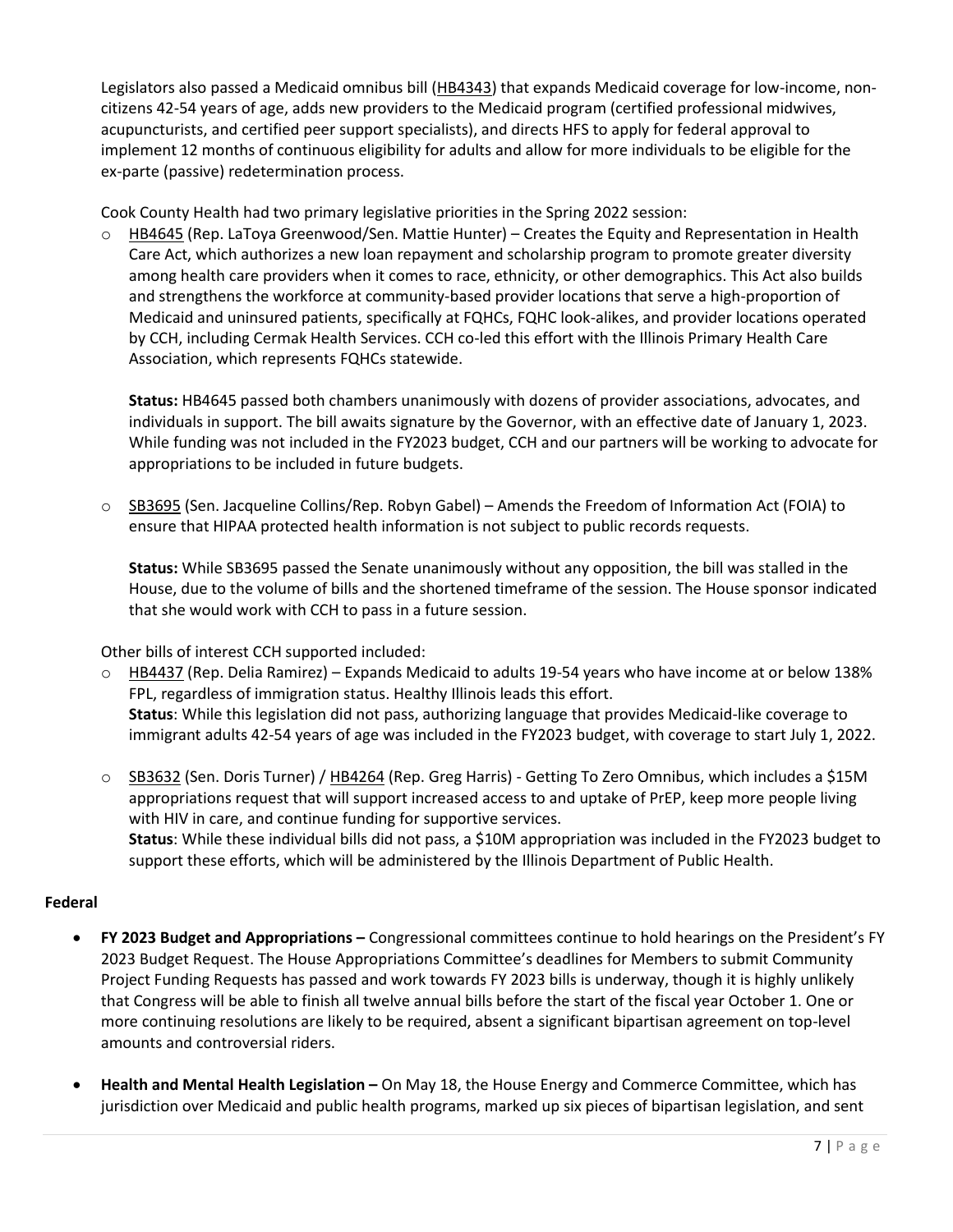Legislators also passed a Medicaid omnibus bill [\(HB4343\)](https://nam12.safelinks.protection.outlook.com/?url=https%3A%2F%2Fwww.ilga.gov%2Flegislation%2Fbillstatus.asp%3FDocNum%3D4343%26GAID%3D16%26GA%3D102%26DocTypeID%3DHB%26LegID%3D137545%26SessionID%3D110&data=05%7C01%7Ckchan5%40cookcountyhhs.org%7Cfbb51c731b9a4c0d68ff08da2a054a5c%7C3b922295e886417faaa84e4c4f069d82%7C0%7C0%7C637868499463696825%7CUnknown%7CTWFpbGZsb3d8eyJWIjoiMC4wLjAwMDAiLCJQIjoiV2luMzIiLCJBTiI6Ik1haWwiLCJXVCI6Mn0%3D%7C3000%7C%7C%7C&sdata=PIq1CPdBSh23WIcNAjQel5DMT0YBhhdnZwCOfLUDEoE%3D&reserved=0) that expands Medicaid coverage for low-income, noncitizens 42-54 years of age, adds new providers to the Medicaid program (certified professional midwives, acupuncturists, and certified peer support specialists), and directs HFS to apply for federal approval to implement 12 months of continuous eligibility for adults and allow for more individuals to be eligible for the ex-parte (passive) redetermination process.

Cook County Health had two primary legislative priorities in the Spring 2022 session:

 $\circ$  [HB4645](https://nam12.safelinks.protection.outlook.com/?url=https%3A%2F%2Fwww.ilga.gov%2Flegislation%2FBillStatus.asp%3FDocNum%3D4645%26GAID%3D16%26DocTypeID%3DHB%26LegID%3D138675%26SessionID%3D110%26SpecSess%3D%26Session%3D%26GA%3D102&data=04%7C01%7Ckchan5%40cookcountyhhs.org%7Cc9181f9ad3fd4736042808da091a0260%7C3b922295e886417faaa84e4c4f069d82%7C0%7C0%7C637832304557035541%7CUnknown%7CTWFpbGZsb3d8eyJWIjoiMC4wLjAwMDAiLCJQIjoiV2luMzIiLCJBTiI6Ik1haWwiLCJXVCI6Mn0%3D%7C3000&sdata=ro1lu0C%2Fg4Ll9762RbMwqgPWBUaUpzvq0y50mt2MMVE%3D&reserved=0) (Rep. LaToya Greenwood/Sen. Mattie Hunter) – Creates the Equity and Representation in Health Care Act, which authorizes a new loan repayment and scholarship program to promote greater diversity among health care providers when it comes to race, ethnicity, or other demographics. This Act also builds and strengthens the workforce at community-based provider locations that serve a high-proportion of Medicaid and uninsured patients, specifically at FQHCs, FQHC look-alikes, and provider locations operated by CCH, including Cermak Health Services. CCH co-led this effort with the Illinois Primary Health Care Association, which represents FQHCs statewide.

**Status:** HB4645 passed both chambers unanimously with dozens of provider associations, advocates, and individuals in support. The bill awaits signature by the Governor, with an effective date of January 1, 2023. While funding was not included in the FY2023 budget, CCH and our partners will be working to advocate for appropriations to be included in future budgets.

○ [SB3695](https://nam12.safelinks.protection.outlook.com/?url=https%3A%2F%2Fwww.ilga.gov%2Flegislation%2Fbillstatus.asp%3FDocNum%3D3695%26GAID%3D16%26GA%3D102%26DocTypeID%3DSB%26LegID%3D138704%26SessionID%3D110&data=04%7C01%7Ckchan5%40cookcountyhhs.org%7C2f2efc2270dc46f26ebc08d9f320ae30%7C3b922295e886417faaa84e4c4f069d82%7C0%7C0%7C637808143960458831%7CUnknown%7CTWFpbGZsb3d8eyJWIjoiMC4wLjAwMDAiLCJQIjoiV2luMzIiLCJBTiI6Ik1haWwiLCJXVCI6Mn0%3D%7C3000&sdata=aT%2FFxpzEGGnhN%2F2JCsGbEyQBnUVtCZIehmXqitLjF%2BY%3D&reserved=0) (Sen. Jacqueline Collins/Rep. Robyn Gabel) – Amends the Freedom of Information Act (FOIA) to ensure that HIPAA protected health information is not subject to public records requests.

**Status:** While SB3695 passed the Senate unanimously without any opposition, the bill was stalled in the House, due to the volume of bills and the shortened timeframe of the session. The House sponsor indicated that she would work with CCH to pass in a future session.

Other bills of interest CCH supported included:

- [HB4437](https://nam12.safelinks.protection.outlook.com/?url=https%3A%2F%2Fwww.ilga.gov%2Flegislation%2Fbillstatus.asp%3FDocNum%3D4437%26GAID%3D16%26GA%3D102%26DocTypeID%3DHB%26LegID%3D137793%26SessionID%3D110&data=04%7C01%7Ckchan5%40cookcountyhhs.org%7C2f2efc2270dc46f26ebc08d9f320ae30%7C3b922295e886417faaa84e4c4f069d82%7C0%7C0%7C637808143960615064%7CUnknown%7CTWFpbGZsb3d8eyJWIjoiMC4wLjAwMDAiLCJQIjoiV2luMzIiLCJBTiI6Ik1haWwiLCJXVCI6Mn0%3D%7C3000&sdata=C74tR1D6BO0EXIa%2Bd9%2BP5N%2FBVrG%2FSeBm4eex9JL93o0%3D&reserved=0) (Rep. Delia Ramirez) Expands Medicaid to adults 19-54 years who have income at or below 138% FPL, regardless of immigration status. Healthy Illinois leads this effort. **Status**: While this legislation did not pass, authorizing language that provides Medicaid-like coverage to immigrant adults 42-54 years of age was included in the FY2023 budget, with coverage to start July 1, 2022.
- [SB3632](https://nam12.safelinks.protection.outlook.com/?url=https%3A%2F%2Fwww.ilga.gov%2Flegislation%2FBillStatus.asp%3FGA%3D102%26DocTypeID%3DSB%26DocNum%3D3632%26GAID%3D16%26SessionID%3D110%26LegID%3D138619&data=04%7C01%7Ckchan5%40cookcountyhhs.org%7C2f2efc2270dc46f26ebc08d9f320ae30%7C3b922295e886417faaa84e4c4f069d82%7C0%7C0%7C637808143960615064%7CUnknown%7CTWFpbGZsb3d8eyJWIjoiMC4wLjAwMDAiLCJQIjoiV2luMzIiLCJBTiI6Ik1haWwiLCJXVCI6Mn0%3D%7C3000&sdata=i%2FLFg9YdXvpszBoEF2oXtX4lZh66%2BVeTpz9QaUIXtT0%3D&reserved=0) (Sen. Doris Turner) / [HB4264](https://nam12.safelinks.protection.outlook.com/?url=https%3A%2F%2Fwww.ilga.gov%2Flegislation%2Fbillstatus.asp%3FDocNum%3D4264%26GAID%3D16%26GA%3D102%26DocTypeID%3DHB%26LegID%3D137315%26SessionID%3D110&data=04%7C01%7Ckchan5%40cookcountyhhs.org%7C2f2efc2270dc46f26ebc08d9f320ae30%7C3b922295e886417faaa84e4c4f069d82%7C0%7C0%7C637808143960615064%7CUnknown%7CTWFpbGZsb3d8eyJWIjoiMC4wLjAwMDAiLCJQIjoiV2luMzIiLCJBTiI6Ik1haWwiLCJXVCI6Mn0%3D%7C3000&sdata=E%2BX85u5CYsgOrQlXk6AW5%2FZr8IX%2B56QrBg3ndmI6Czo%3D&reserved=0) (Rep. Greg Harris) Getting To Zero Omnibus, which includes a \$15M appropriations request that will support increased access to and uptake of PrEP, keep more people living with HIV in care, and continue funding for supportive services. **Status**: While these individual bills did not pass, a \$10M appropriation was included in the FY2023 budget to support these efforts, which will be administered by the Illinois Department of Public Health.

## **Federal**

- **FY 2023 Budget and Appropriations –** Congressional committees continue to hold hearings on the President's FY 2023 Budget Request. The House Appropriations Committee's deadlines for Members to submit Community Project Funding Requests has passed and work towards FY 2023 bills is underway, though it is highly unlikely that Congress will be able to finish all twelve annual bills before the start of the fiscal year October 1. One or more continuing resolutions are likely to be required, absent a significant bipartisan agreement on top-level amounts and controversial riders.
- **Health and Mental Health Legislation –** On May 18, the House Energy and Commerce Committee, which has jurisdiction over Medicaid and public health programs, marked up six pieces of bipartisan legislation, and sent